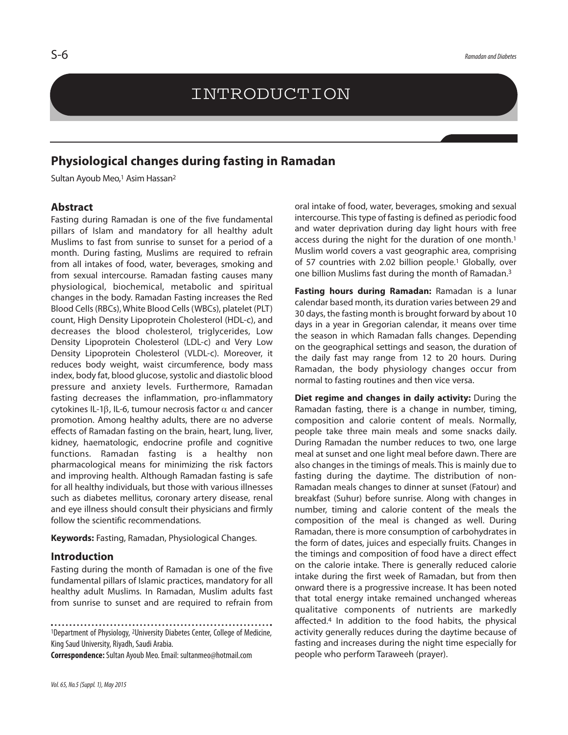# INTRODUCTION

# **Physiological changes during fasting in Ramadan**

Sultan Ayoub Meo,<sup>1</sup> Asim Hassan<sup>2</sup>

#### **Abstract**

Fasting during Ramadan is one of the five fundamental pillars of Islam and mandatory for all healthy adult Muslims to fast from sunrise to sunset for a period of a month. During fasting, Muslims are required to refrain from all intakes of food, water, beverages, smoking and from sexual intercourse. Ramadan fasting causes many physiological, biochemical, metabolic and spiritual changes in the body. Ramadan Fasting increases the Red Blood Cells(RBCs), White Blood Cells(WBCs), platelet (PLT) count, High Density Lipoprotein Cholesterol (HDL-c), and decreases the blood cholesterol, triglycerides, Low Density Lipoprotein Cholesterol (LDL-c) and Very Low Density Lipoprotein Cholesterol (VLDL-c). Moreover, it reduces body weight, waist circumference, body mass index, body fat, blood glucose, systolic and diastolic blood pressure and anxiety levels. Furthermore, Ramadan fasting decreases the inflammation, pro-inflammatory cytokines IL-1β, IL-6, tumour necrosis factor  $\alpha$  and cancer promotion. Among healthy adults, there are no adverse effects of Ramadan fasting on the brain, heart, lung, liver, kidney, haematologic, endocrine profile and cognitive functions. Ramadan fasting is a healthy non pharmacological means for minimizing the risk factors and improving health. Although Ramadan fasting is safe for all healthy individuals, but those with various illnesses such as diabetes mellitus, coronary artery disease, renal and eye illness should consult their physicians and firmly follow the scientific recommendations.

**Keywords:** Fasting, Ramadan, Physiological Changes.

### **Introduction**

Fasting during the month of Ramadan is one of the five fundamental pillars of Islamic practices, mandatory for all healthy adult Muslims. In Ramadan, Muslim adults fast from sunrise to sunset and are required to refrain from

1Department of Physiology, 2University Diabetes Center, College of Medicine, King Saud University, Riyadh, Saudi Arabia.

**Correspondence:**Sultan Ayoub Meo.Email: sultanmeo@hotmail.com

oral intake of food, water, beverages, smoking and sexual intercourse. This type of fasting is defined as periodic food and water deprivation during day light hours with free access during the night for the duration of one month. 1 Muslim world covers a vast geographic area, comprising of 57 countries with 2.02 billion people. 1 Globally, over one billion Muslims fast during the month of Ramadan. 3

**Fasting hours during Ramadan:** Ramadan is a lunar calendar based month, its duration varies between 29 and 30 days, the fasting month is brought forward by about 10 days in a year in Gregorian calendar, it means over time the season in which Ramadan falls changes. Depending on the geographical settings and season, the duration of the daily fast may range from 12 to 20 hours. During Ramadan, the body physiology changes occur from normal to fasting routines and then vice versa.

**Diet regime and changes in daily activity:** During the Ramadan fasting, there is a change in number, timing, composition and calorie content of meals. Normally, people take three main meals and some snacks daily. During Ramadan the number reduces to two, one large meal at sunset and one light meal before dawn. There are also changes in the timings of meals. This is mainly due to fasting during the daytime. The distribution of non-Ramadan meals changes to dinner at sunset (Fatour) and breakfast (Suhur) before sunrise. Along with changes in number, timing and calorie content of the meals the composition of the meal is changed as well. During Ramadan, there is more consumption of carbohydrates in the form of dates, juices and especially fruits. Changes in the timings and composition of food have a direct effect on the calorie intake. There is generally reduced calorie intake during the first week of Ramadan, but from then onward there is a progressive increase. It has been noted that total energy intake remained unchanged whereas qualitative components of nutrients are markedly affected. <sup>4</sup> In addition to the food habits, the physical activity generally reduces during the daytime because of fasting and increases during the night time especially for people who perform Taraweeh (prayer).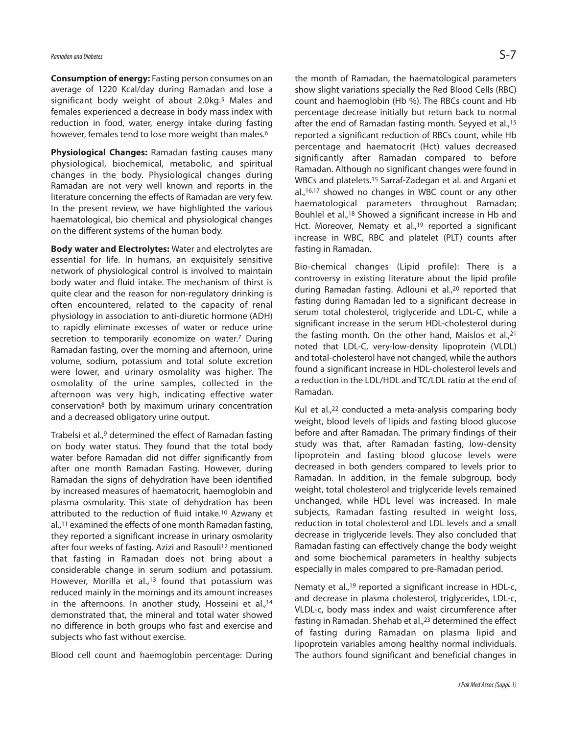**Consumption of energy:** Fasting person consumes on an average of 1220 Kcal/day during Ramadan and lose a significant body weight of about 2.0kg. <sup>5</sup> Males and females experienced a decrease in body mass index with reduction in food, water, energy intake during fasting however, females tend to lose more weight than males. 6

**Physiological Changes:** Ramadan fasting causes many physiological, biochemical, metabolic, and spiritual changes in the body. Physiological changes during Ramadan are not very well known and reports in the literature concerning the effects of Ramadan are very few. In the present review, we have highlighted the various haematological, bio chemical and physiological changes on the different systems of the human body.

**Body water and Electrolytes:** Water and electrolytes are essential for life. In humans, an exquisitely sensitive network of physiological control is involved to maintain body water and fluid intake. The mechanism of thirst is quite clear and the reason for non-regulatory drinking is often encountered, related to the capacity of renal physiology in association to anti-diuretic hormone (ADH) to rapidly eliminate excesses of water or reduce urine secretion to temporarily economize on water.<sup>7</sup> During Ramadan fasting, over the morning and afternoon, urine volume, sodium, potassium and total solute excretion were lower, and urinary osmolality was higher. The osmolality of the urine samples, collected in the afternoon was very high, indicating effective water conservation8 both by maximum urinary concentration and a decreased obligatory urine output.

Trabelsi et al., <sup>9</sup> determined the effect of Ramadan fasting on body water status. They found that the total body water before Ramadan did not differ significantly from after one month Ramadan Fasting. However, during Ramadan the signs of dehydration have been identified by increased measures of haematocrit, haemoglobin and plasma osmolarity. This state of dehydration has been attributed to the reduction of fluid intake. <sup>10</sup> Azwany et al., <sup>11</sup> examined the effects of one month Ramadan fasting, they reported a significant increase in urinary osmolarity after four weeks of fasting. Azizi and Rasouli<sup>12</sup> mentioned that fasting in Ramadan does not bring about a considerable change in serum sodium and potassium. However, Morilla et al.,<sup>13</sup> found that potassium was reduced mainly in the mornings and its amount increases in the afternoons. In another study, Hosseini et al.,<sup>14</sup> demonstrated that, the mineral and total water showed no difference in both groups who fast and exercise and subjects who fast without exercise.

Blood cell count and haemoglobin percentage: During

the month of Ramadan, the haematological parameters show slight variations specially the Red Blood Cells (RBC) count and haemoglobin (Hb %). The RBCs count and Hb percentage decrease initially but return back to normal after the end of Ramadan fasting month. Seyyed et al., 15 reported a significant reduction of RBCs count, while Hb percentage and haematocrit (Hct) values decreased significantly after Ramadan compared to before Ramadan. Although no significant changes were found in WBCs and platelets. <sup>15</sup> Sarraf-Zadegan et al. and Argani et al., 16,17 showed no changes in WBC count or any other haematological parameters throughout Ramadan; Bouhlel et al., <sup>18</sup> Showed a significant increase in Hb and Hct. Moreover, Nematy et al.,<sup>19</sup> reported a significant increase in WBC, RBC and platelet (PLT) counts after fasting in Ramadan.

Bio-chemical changes (Lipid profile): There is a controversy in existing literature about the lipid profile during Ramadan fasting. Adlouni et al., <sup>20</sup> reported that fasting during Ramadan led to a significant decrease in serum total cholesterol, triglyceride and LDL-C, while a significant increase in the serum HDL-cholesterol during the fasting month. On the other hand, Maislos et al., 21 noted that LDL-C, very-low-density lipoprotein (VLDL) and total-cholesterol have not changed, while the authors found a significant increase in HDL-cholesterol levels and a reduction in the LDL/HDL and TC/LDL ratio at the end of Ramadan.

Kul et al., <sup>22</sup> conducted a meta-analysis comparing body weight, blood levels of lipids and fasting blood glucose before and after Ramadan. The primary findings of their study was that, after Ramadan fasting, low-density lipoprotein and fasting blood glucose levels were decreased in both genders compared to levels prior to Ramadan. In addition, in the female subgroup, body weight, total cholesterol and triglyceride levels remained unchanged, while HDL level was increased. In male subjects, Ramadan fasting resulted in weight loss, reduction in total cholesterol and LDL levels and a small decrease in triglyceride levels. They also concluded that Ramadan fasting can effectively change the body weight and some biochemical parameters in healthy subjects especially in males compared to pre-Ramadan period.

Nematy et al.,<sup>19</sup> reported a significant increase in HDL-c, and decrease in plasma cholesterol, triglycerides, LDL-c, VLDL-c, body mass index and waist circumference after fasting in Ramadan. Shehab et al., <sup>23</sup> determined the effect of fasting during Ramadan on plasma lipid and lipoprotein variables among healthy normal individuals. The authors found significant and beneficial changes in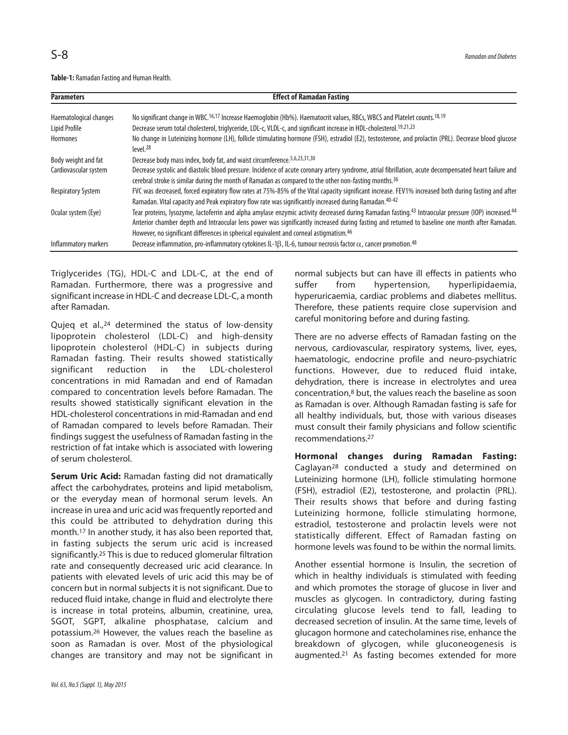Table-1: Ramadan Fasting and Human Health.

| <b>Parameters</b>         | <b>Effect of Ramadan Fasting</b>                                                                                                                                                                                                                                                                                                                                                                            |
|---------------------------|-------------------------------------------------------------------------------------------------------------------------------------------------------------------------------------------------------------------------------------------------------------------------------------------------------------------------------------------------------------------------------------------------------------|
| Haematological changes    | No significant change in WBC. <sup>16,17</sup> Increase Haemoglobin (Hb%). Haematocrit values, RBCs, WBCS and Platelet counts. <sup>18,19</sup>                                                                                                                                                                                                                                                             |
| Lipid Profile             | Decrease serum total cholesterol, triglyceride, LDL-c, VLDL-c, and significant increase in HDL-cholesterol. <sup>19,21,23</sup>                                                                                                                                                                                                                                                                             |
| Hormones                  | No change in Luteinizing hormone (LH), follicle stimulating hormone (FSH), estradiol (E2), testosterone, and prolactin (PRL). Decrease blood glucose<br>level <sub>28</sub>                                                                                                                                                                                                                                 |
| Body weight and fat       | Decrease body mass index, body fat, and waist circumference. 5,6,23,31,30                                                                                                                                                                                                                                                                                                                                   |
| Cardiovascular system     | Decrease systolic and diastolic blood pressure. Incidence of acute coronary artery syndrome, atrial fibrillation, acute decompensated heart failure and<br>cerebral stroke is similar during the month of Ramadan as compared to the other non-fasting months. <sup>36</sup>                                                                                                                                |
| <b>Respiratory System</b> | FVC was decreased, forced expiratory flow rates at 75%-85% of the Vital capacity significant increase. FEV1% increased both during fasting and after<br>Ramadan. Vital capacity and Peak expiratory flow rate was significantly increased during Ramadan. 40-42                                                                                                                                             |
| Ocular system (Eye)       | Tear proteins, lysozyme, lactoferrin and alpha amylase enzymic activity decreased during Ramadan fasting.43 Intraocular pressure (IOP) increased.44<br>Anterior chamber depth and Intraocular lens power was significantly increased during fasting and returned to baseline one month after Ramadan.<br>However, no significant differences in spherical equivalent and corneal astigmatism. <sup>46</sup> |
| Inflammatory markers      | Decrease inflammation, pro-inflammatory cytokines IL-1B, IL-6, tumour necrosis factor $\alpha$ , cancer promotion. <sup>48</sup>                                                                                                                                                                                                                                                                            |

Triglycerides (TG), HDL-C and LDL-C, at the end of Ramadan. Furthermore, there was a progressive and significant increase in HDL-C and decrease LDL-C, a month after Ramadan.

Qujeq et al.,<sup>24</sup> determined the status of low-density lipoprotein cholesterol (LDL-C) and high-density lipoprotein cholesterol (HDL-C) in subjects during Ramadan fasting. Their results showed statistically significant reduction in the LDL-cholesterol concentrations in mid Ramadan and end of Ramadan compared to concentration levels before Ramadan. The results showed statistically significant elevation in the HDL-cholesterol concentrations in mid-Ramadan and end of Ramadan compared to levels before Ramadan. Their findings suggest the usefulness of Ramadan fasting in the restriction of fat intake which is associated with lowering of serum cholesterol.

**Serum Uric Acid:** Ramadan fasting did not dramatically affect the carbohydrates, proteins and lipid metabolism, or the everyday mean of hormonal serum levels. An increase in urea and uric acid was frequently reported and this could be attributed to dehydration during this month. <sup>17</sup> In another study, it has also been reported that, in fasting subjects the serum uric acid is increased significantly. <sup>25</sup> This is due to reduced glomerular filtration rate and consequently decreased uric acid clearance. In patients with elevated levels of uric acid this may be of concern but in normal subjects it is not significant. Due to reduced fluid intake, change in fluid and electrolyte there is increase in total proteins, albumin, creatinine, urea, SGOT, SGPT, alkaline phosphatase, calcium and potassium. <sup>26</sup> However, the values reach the baseline as soon as Ramadan is over. Most of the physiological changes are transitory and may not be significant in normal subjects but can have ill effects in patients who suffer from hypertension, hyperlipidaemia, hyperuricaemia, cardiac problems and diabetes mellitus. Therefore, these patients require close supervision and careful monitoring before and during fasting.

There are no adverse effects of Ramadan fasting on the nervous, cardiovascular, respiratory systems, liver, eyes, haematologic, endocrine profile and neuro-psychiatric functions. However, due to reduced fluid intake, dehydration, there is increase in electrolytes and urea concentration, <sup>8</sup> but, the values reach the baseline as soon as Ramadan is over. Although Ramadan fasting is safe for all healthy individuals, but, those with various diseases must consult their family physicians and follow scientific recommendations. 27

**Hormonal changes during Ramadan Fasting:** Caglayan28 conducted a study and determined on Luteinizing hormone (LH), follicle stimulating hormone (FSH), estradiol (E2), testosterone, and prolactin (PRL). Their results shows that before and during fasting Luteinizing hormone, follicle stimulating hormone, estradiol, testosterone and prolactin levels were not statistically different. Effect of Ramadan fasting on hormone levels was found to be within the normal limits.

Another essential hormone is Insulin, the secretion of which in healthy individuals is stimulated with feeding and which promotes the storage of glucose in liver and muscles as glycogen. In contradictory, during fasting circulating glucose levels tend to fall, leading to decreased secretion of insulin. At the same time, levels of glucagon hormone and catecholamines rise, enhance the breakdown of glycogen, while gluconeogenesis is augmented. <sup>21</sup> As fasting becomes extended for more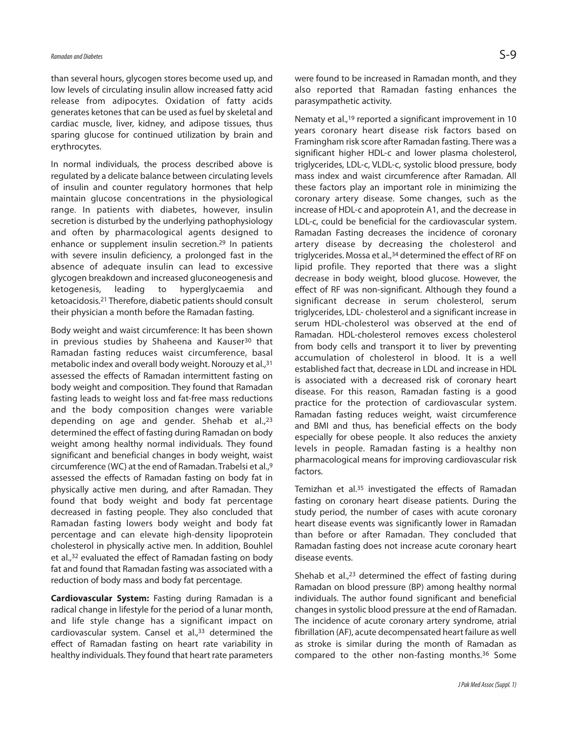than several hours, glycogen stores become used up, and low levels of circulating insulin allow increased fatty acid release from adipocytes. Oxidation of fatty acids generates ketones that can be used as fuel by skeletal and cardiac muscle, liver, kidney, and adipose tissues, thus sparing glucose for continued utilization by brain and erythrocytes.

In normal individuals, the process described above is regulated by a delicate balance between circulating levels of insulin and counter regulatory hormones that help maintain glucose concentrations in the physiological range. In patients with diabetes, however, insulin secretion is disturbed by the underlying pathophysiology and often by pharmacological agents designed to enhance or supplement insulin secretion. <sup>29</sup> In patients with severe insulin deficiency, a prolonged fast in the absence of adequate insulin can lead to excessive glycogen breakdown and increased gluconeogenesis and ketogenesis, leading to hyperglycaemia and ketoacidosis. <sup>21</sup> Therefore, diabetic patients should consult their physician a month before the Ramadan fasting.

Body weight and waist circumference: It has been shown in previous studies by Shaheena and Kauser<sup>30</sup> that Ramadan fasting reduces waist circumference, basal metabolic index and overall body weight. Norouzy et al., 31 assessed the effects of Ramadan intermittent fasting on body weight and composition. They found that Ramadan fasting leads to weight loss and fat-free mass reductions and the body composition changes were variable depending on age and gender. Shehab et al., 23 determined the effect of fasting during Ramadan on body weight among healthy normal individuals. They found significant and beneficial changes in body weight, waist circumference (WC) at the end of Ramadan. Trabelsi et al., 9 assessed the effects of Ramadan fasting on body fat in physically active men during, and after Ramadan. They found that body weight and body fat percentage decreased in fasting people. They also concluded that Ramadan fasting lowers body weight and body fat percentage and can elevate high-density lipoprotein cholesterol in physically active men. In addition, Bouhlel et al., <sup>32</sup> evaluated the effect of Ramadan fasting on body fat and found that Ramadan fasting was associated with a reduction of body mass and body fat percentage.

**Cardiovascular System:** Fasting during Ramadan is a radical change in lifestyle for the period of a lunar month, and life style change has a significant impact on cardiovascular system. Cansel et al., <sup>33</sup> determined the effect of Ramadan fasting on heart rate variability in healthy individuals. They found that heart rate parameters were found to be increased in Ramadan month, and they also reported that Ramadan fasting enhances the parasympathetic activity.

Nematy et al., 19 reported a significant improvement in 10 years coronary heart disease risk factors based on Framingham risk score after Ramadan fasting. There was a significant higher HDL-c and lower plasma cholesterol, triglycerides, LDL-c, VLDL-c, systolic blood pressure, body mass index and waist circumference after Ramadan. All these factors play an important role in minimizing the coronary artery disease. Some changes, such as the increase of HDL-c and apoprotein A1, and the decrease in LDL-c, could be beneficial for the cardiovascular system. Ramadan Fasting decreases the incidence of coronary artery disease by decreasing the cholesterol and triglycerides. Mossa et al., 34 determined the effect of RF on lipid profile. They reported that there was a slight decrease in body weight, blood glucose. However, the effect of RF was non-significant. Although they found a significant decrease in serum cholesterol, serum triglycerides, LDL- cholesterol and a significant increase in serum HDL-cholesterol was observed at the end of Ramadan. HDL-cholesterol removes excess cholesterol from body cells and transport it to liver by preventing accumulation of cholesterol in blood. It is a well established fact that, decrease in LDL and increase in HDL is associated with a decreased risk of coronary heart disease. For this reason, Ramadan fasting is a good practice for the protection of cardiovascular system. Ramadan fasting reduces weight, waist circumference and BMI and thus, has beneficial effects on the body especially for obese people. It also reduces the anxiety levels in people. Ramadan fasting is a healthy non pharmacological means for improving cardiovascular risk factors.

Temizhan et al. <sup>35</sup> investigated the effects of Ramadan fasting on coronary heart disease patients. During the study period, the number of cases with acute coronary heart disease events was significantly lower in Ramadan than before or after Ramadan. They concluded that Ramadan fasting does not increase acute coronary heart disease events.

Shehab et al., <sup>23</sup> determined the effect of fasting during Ramadan on blood pressure (BP) among healthy normal individuals. The author found significant and beneficial changes in systolic blood pressure at the end of Ramadan. The incidence of acute coronary artery syndrome, atrial fibrillation (AF), acute decompensated heart failure as well as stroke is similar during the month of Ramadan as compared to the other non-fasting months. <sup>36</sup> Some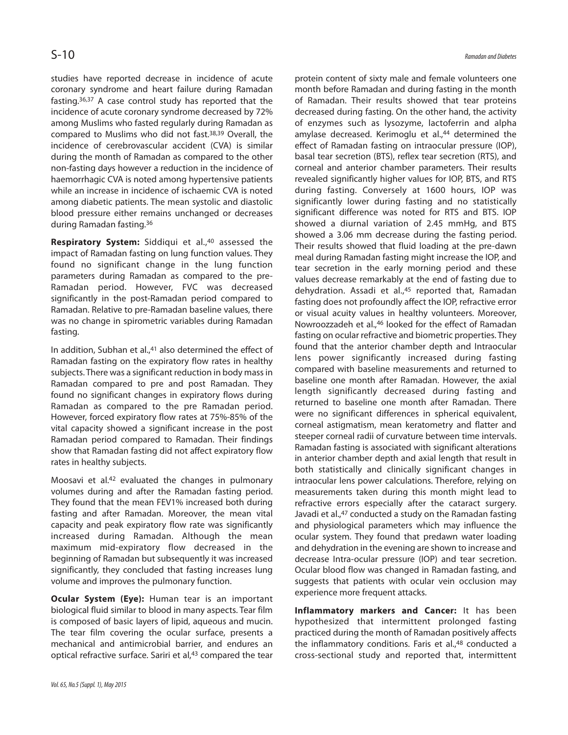studies have reported decrease in incidence of acute coronary syndrome and heart failure during Ramadan fasting. 36,37 A case control study has reported that the incidence of acute coronary syndrome decreased by 72% among Muslims who fasted regularly during Ramadan as compared to Muslims who did not fast. 38,39 Overall, the incidence of cerebrovascular accident (CVA) is similar during the month of Ramadan as compared to the other non-fasting days however a reduction in the incidence of haemorrhagic CVA is noted among hypertensive patients while an increase in incidence of ischaemic CVA is noted among diabetic patients. The mean systolic and diastolic blood pressure either remains unchanged or decreases during Ramadan fasting. 36

**Respiratory System:** Siddiqui et al., 40 assessed the impact of Ramadan fasting on lung function values. They found no significant change in the lung function parameters during Ramadan as compared to the pre-Ramadan period. However, FVC was decreased significantly in the post-Ramadan period compared to Ramadan. Relative to pre-Ramadan baseline values, there was no change in spirometric variables during Ramadan fasting.

In addition, Subhan et al., <sup>41</sup> also determined the effect of Ramadan fasting on the expiratory flow rates in healthy subjects. There was a significant reduction in body mass in Ramadan compared to pre and post Ramadan. They found no significant changes in expiratory flows during Ramadan as compared to the pre Ramadan period. However, forced expiratory flow rates at 75%-85% of the vital capacity showed a significant increase in the post Ramadan period compared to Ramadan. Their findings show that Ramadan fasting did not affect expiratory flow rates in healthy subjects.

Moosavi et al. <sup>42</sup> evaluated the changes in pulmonary volumes during and after the Ramadan fasting period. They found that the mean FEV1% increased both during fasting and after Ramadan. Moreover, the mean vital capacity and peak expiratory flow rate was significantly increased during Ramadan. Although the mean maximum mid-expiratory flow decreased in the beginning of Ramadan but subsequently it was increased significantly, they concluded that fasting increases lung volume and improves the pulmonary function.

**Ocular System (Eye):** Human tear is an important biological fluid similar to blood in many aspects. Tear film is composed of basic layers of lipid, aqueous and mucin. The tear film covering the ocular surface, presents a mechanical and antimicrobial barrier, and endures an optical refractive surface. Sariri et al, <sup>43</sup> compared the tear

protein content of sixty male and female volunteers one month before Ramadan and during fasting in the month of Ramadan. Their results showed that tear proteins decreased during fasting. On the other hand, the activity of enzymes such as lysozyme, lactoferrin and alpha amylase decreased. Kerimoglu et al., <sup>44</sup> determined the effect of Ramadan fasting on intraocular pressure (IOP), basal tear secretion (BTS), reflex tear secretion (RTS), and corneal and anterior chamber parameters. Their results revealed significantly higher values for IOP, BTS, and RTS during fasting. Conversely at 1600 hours, IOP was significantly lower during fasting and no statistically significant difference was noted for RTS and BTS. IOP showed a diurnal variation of 2.45 mmHg, and BTS showed a 3.06 mm decrease during the fasting period. Their results showed that fluid loading at the pre-dawn meal during Ramadan fasting might increase the IOP, and tear secretion in the early morning period and these values decrease remarkably at the end of fasting due to dehydration. Assadi et al., <sup>45</sup> reported that, Ramadan fasting does not profoundly affect the IOP, refractive error or visual acuity values in healthy volunteers. Moreover, Nowroozzadeh et al., <sup>46</sup> looked for the effect of Ramadan fasting on ocular refractive and biometric properties. They found that the anterior chamber depth and Intraocular lens power significantly increased during fasting compared with baseline measurements and returned to baseline one month after Ramadan. However, the axial length significantly decreased during fasting and returned to baseline one month after Ramadan. There were no significant differences in spherical equivalent, corneal astigmatism, mean keratometry and flatter and steeper corneal radii of curvature between time intervals. Ramadan fasting is associated with significant alterations in anterior chamber depth and axial length that result in both statistically and clinically significant changes in intraocular lens power calculations. Therefore, relying on measurements taken during this month might lead to refractive errors especially after the cataract surgery. Javadi et al., <sup>47</sup> conducted a study on the Ramadan fasting and physiological parameters which may influence the ocular system. They found that predawn water loading and dehydration in the evening are shown to increase and decrease Intra-ocular pressure (IOP) and tear secretion. Ocular blood flow was changed in Ramadan fasting, and suggests that patients with ocular vein occlusion may experience more frequent attacks.

**Inflammatory markers and Cancer:** It has been hypothesized that intermittent prolonged fasting practiced during the month of Ramadan positively affects the inflammatory conditions. Faris et al., <sup>48</sup> conducted a cross-sectional study and reported that, intermittent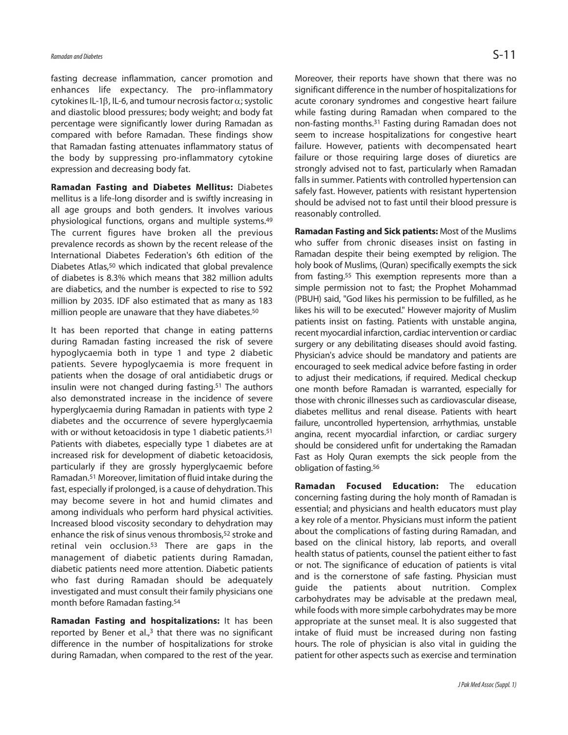fasting decrease inflammation, cancer promotion and enhances life expectancy. The pro-inflammatory cytokines IL-1β, IL-6, and tumour necrosis factor  $\alpha$ ; systolic and diastolic blood pressures; body weight; and body fat percentage were significantly lower during Ramadan as compared with before Ramadan. These findings show that Ramadan fasting attenuates inflammatory status of the body by suppressing pro-inflammatory cytokine expression and decreasing body fat.

**Ramadan Fasting and Diabetes Mellitus:** Diabetes mellitus is a life-long disorder and is swiftly increasing in all age groups and both genders. It involves various physiological functions, organs and multiple systems. 49 The current figures have broken all the previous prevalence records as shown by the recent release of the International Diabetes Federation's 6th edition of the Diabetes Atlas, 50 which indicated that global prevalence of diabetes is 8.3% which means that 382 million adults are diabetics, and the number is expected to rise to 592 million by 2035. IDF also estimated that as many as 183 million people are unaware that they have diabetes. 50

It has been reported that change in eating patterns during Ramadan fasting increased the risk of severe hypoglycaemia both in type 1 and type 2 diabetic patients. Severe hypoglycaemia is more frequent in patients when the dosage of oral antidiabetic drugs or insulin were not changed during fasting. <sup>51</sup> The authors also demonstrated increase in the incidence of severe hyperglycaemia during Ramadan in patients with type 2 diabetes and the occurrence of severe hyperglycaemia with or without ketoacidosis in type 1 diabetic patients.<sup>51</sup> Patients with diabetes, especially type 1 diabetes are at increased risk for development of diabetic ketoacidosis, particularly if they are grossly hyperglycaemic before Ramadan. <sup>51</sup> Moreover, limitation of fluid intake during the fast, especially if prolonged, is a cause of dehydration. This may become severe in hot and humid climates and among individuals who perform hard physical activities. Increased blood viscosity secondary to dehydration may enhance the risk of sinus venous thrombosis, <sup>52</sup> stroke and retinal vein occlusion. <sup>53</sup> There are gaps in the management of diabetic patients during Ramadan, diabetic patients need more attention. Diabetic patients who fast during Ramadan should be adequately investigated and must consult their family physicians one month before Ramadan fasting. 54

**Ramadan Fasting and hospitalizations:** It has been reported by Bener et al., <sup>3</sup> that there was no significant difference in the number of hospitalizations for stroke during Ramadan, when compared to the rest of the year. Moreover, their reports have shown that there was no significant difference in the number of hospitalizations for acute coronary syndromes and congestive heart failure while fasting during Ramadan when compared to the non-fasting months. <sup>31</sup> Fasting during Ramadan does not seem to increase hospitalizations for congestive heart failure. However, patients with decompensated heart failure or those requiring large doses of diuretics are strongly advised not to fast, particularly when Ramadan falls in summer. Patients with controlled hypertension can safely fast. However, patients with resistant hypertension should be advised not to fast until their blood pressure is reasonably controlled.

**Ramadan Fasting and Sick patients:** Most of the Muslims who suffer from chronic diseases insist on fasting in Ramadan despite their being exempted by religion. The holy book of Muslims, (Quran) specifically exempts the sick from fasting. <sup>55</sup> This exemption represents more than a simple permission not to fast; the Prophet Mohammad (PBUH) said, "God likes his permission to be fulfilled, as he likes his will to be executed." However majority of Muslim patients insist on fasting. Patients with unstable angina, recent myocardial infarction, cardiac intervention or cardiac surgery or any debilitating diseases should avoid fasting. Physician's advice should be mandatory and patients are encouraged to seek medical advice before fasting in order to adjust their medications, if required. Medical checkup one month before Ramadan is warranted, especially for those with chronic illnesses such as cardiovascular disease, diabetes mellitus and renal disease. Patients with heart failure, uncontrolled hypertension, arrhythmias, unstable angina, recent myocardial infarction, or cardiac surgery should be considered unfit for undertaking the Ramadan Fast as Holy Quran exempts the sick people from the obligation of fasting. 56

**Ramadan Focused Education:** The education concerning fasting during the holy month of Ramadan is essential; and physicians and health educators must play a key role of a mentor. Physicians must inform the patient about the complications of fasting during Ramadan, and based on the clinical history, lab reports, and overall health status of patients, counsel the patient either to fast or not. The significance of education of patients is vital and is the cornerstone of safe fasting. Physician must guide the patients about nutrition. Complex carbohydrates may be advisable at the predawn meal, while foods with more simple carbohydrates may be more appropriate at the sunset meal. It is also suggested that intake of fluid must be increased during non fasting hours. The role of physician is also vital in guiding the patient for other aspects such as exercise and termination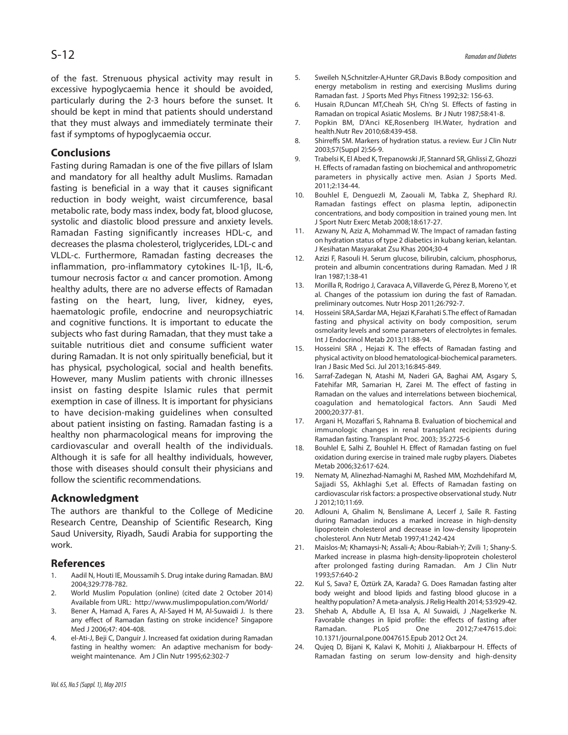of the fast. Strenuous physical activity may result in excessive hypoglycaemia hence it should be avoided, particularly during the 2-3 hours before the sunset. It should be kept in mind that patients should understand that they must always and immediately terminate their fast if symptoms of hypoglycaemia occur.

## **Conclusions**

Fasting during Ramadan is one of the five pillars of Islam and mandatory for all healthy adult Muslims. Ramadan fasting is beneficial in a way that it causes significant reduction in body weight, waist circumference, basal metabolic rate, body mass index, body fat, blood glucose, systolic and diastolic blood pressure and anxiety levels. Ramadan Fasting significantly increases HDL-c, and decreases the plasma cholesterol, triglycerides, LDL-c and VLDL-c. Furthermore, Ramadan fasting decreases the inflammation, pro-inflammatory cytokines IL-1β, IL-6, tumour necrosis factor  $\alpha$  and cancer promotion. Among healthy adults, there are no adverse effects of Ramadan fasting on the heart, lung, liver, kidney, eyes, haematologic profile, endocrine and neuropsychiatric and cognitive functions. It is important to educate the subjects who fast during Ramadan, that they must take a suitable nutritious diet and consume sufficient water during Ramadan. It is not only spiritually beneficial, but it has physical, psychological, social and health benefits. However, many Muslim patients with chronic illnesses insist on fasting despite Islamic rules that permit exemption in case of illness. It is important for physicians to have decision-making guidelines when consulted about patient insisting on fasting. Ramadan fasting is a healthy non pharmacological means for improving the cardiovascular and overall health of the individuals. Although it is safe for all healthy individuals, however, those with diseases should consult their physicians and follow the scientific recommendations.

#### **Acknowledgment**

The authors are thankful to the College of Medicine Research Centre, Deanship of Scientific Research, King Saud University, Riyadh, Saudi Arabia for supporting the work.

#### **References**

- 1. Aadil N, Houti IE, Moussamih S. Drug intake during Ramadan. BMJ 2004;329:778-782.
- 2. World Muslim Population (online) (cited date 2 October 2014) Available from URL: http://www.muslimpopulation.com/World/
- 3. Bener A, Hamad A, Fares A, Al-Sayed H M, Al-Suwaidi J. Is there any effect of Ramadan fasting on stroke incidence? Singapore Med J 2006;47: 404-408.
- 4. el-Ati-J, Beji C, Danguir J. Increased fat oxidation during Ramadan fasting in healthy women: An adaptive mechanism for bodyweight maintenance. Am J Clin Nutr 1995;62:302-7
- 5. Sweileh N,Schnitzler-A,Hunter GR,Davis B.Body composition and energy metabolism in resting and exercising Muslims during Ramadan fast. J Sports Med Phys Fitness 1992;32: 156-63.
- 6. Husain R,Duncan MT,Cheah SH, Ch'ng SI. Effects of fasting in Ramadan on tropical Asiatic Moslems. Br J Nutr 1987;58:41-8.
- 7. Popkin BM, D'Anci KE,Rosenberg IH.Water, hydration and health.Nutr Rev 2010;68:439-458.
- 8. Shirreffs SM. Markers of hydration status. a review. Eur J Clin Nutr 2003;57(Suppl 2):S6-9.
- 9. Trabelsi K, El Abed K, Trepanowski JF, Stannard SR, Ghlissi Z, Ghozzi H. Effects of ramadan fasting on biochemical and anthropometric parameters in physically active men. Asian J Sports Med. 2011;2:134-44.
- 10. Bouhlel E, Denguezli M, Zaouali M, Tabka Z, Shephard RJ. Ramadan fastings effect on plasma leptin, adiponectin concentrations, and body composition in trained young men. Int J Sport Nutr Exerc Metab 2008;18:617-27.
- 11. Azwany N, Aziz A, Mohammad W. The Impact of ramadan fasting on hydration status of type 2 diabetics in kubang kerian, kelantan. J Kesihatan Masyarakat Zsu Khas 2004;30-4
- 12. Azizi F, Rasouli H. Serum glucose, bilirubin, calcium, phosphorus, protein and albumin concentrations during Ramadan. Med J IR Iran 1987;1:38-41
- 13. Morilla R, Rodrigo J, Caravaca A, Villaverde G, Pérez B, Moreno Y, et al. Changes of the potassium ion during the fast of Ramadan. preliminary outcomes. Nutr Hosp 2011;26:792-7.
- 14. Hosseini SRA,Sardar MA, Hejazi K,Farahati S.The effect of Ramadan fasting and physical activity on body composition, serum osmolarity levels and some parameters of electrolytes in females. Int J Endocrinol Metab 2013;11:88-94.
- 15. Hosseini SRA , Hejazi K. The effects of Ramadan fasting and physical activity on blood hematological-biochemical parameters. Iran J Basic Med Sci. Jul 2013;16:845-849.
- 16. Sarraf-Zadegan N, Atashi M, Naderi GA, Baghai AM, Asgary S, Fatehifar MR, Samarian H, Zarei M. The effect of fasting in Ramadan on the values and interrelations between biochemical, coagulation and hematological factors. Ann Saudi Med 2000;20:377-81.
- 17. Argani H, Mozaffari S, Rahnama B. Evaluation of biochemical and immunologic changes in renal transplant recipients during Ramadan fasting. Transplant Proc. 2003; 35:2725-6
- 18. Bouhlel E, Salhi Z, Bouhlel H. Effect of Ramadan fasting on fuel oxidation during exercise in trained male rugby players. Diabetes Metab 2006;32:617-624.
- 19. Nematy M, Alinezhad-Namaghi M, Rashed MM, Mozhdehifard M, Sajjadi SS, Akhlaghi S,et al. Effects of Ramadan fasting on cardiovascular risk factors: a prospective observational study. Nutr J 2012;10;11:69.
- 20. Adlouni A, Ghalim N, Benslimane A, Lecerf J, Saile R. Fasting during Ramadan induces a marked increase in high-density lipoprotein cholesterol and decrease in low-density lipoprotein cholesterol. Ann Nutr Metab 1997;41:242-424
- 21. Maislos-M; Khamaysi-N; Assali-A; Abou-Rabiah-Y; Zvili 1; Shany-S. Marked increase in plasma high-density-lipoprotein cholesterol after prolonged fasting during Ramadan. Am J Clin Nutr 1993;57:640-2
- 22. Kul S, Sava? E, Öztürk ZA, Karada? G. Does Ramadan fasting alter body weight and blood lipids and fasting blood glucose in a healthy population? A meta-analysis. J Relig Health 2014; 53:929-42.
- 23. Shehab A, Abdulle A, El Issa A, Al Suwaidi, J ,Nagelkerke N. Favorable changes in lipid profile: the effects of fasting after Ramadan. PLoS One 2012;7:e47615.doi: 10.1371/journal.pone.0047615.Epub 2012 Oct 24.
- 24. Qujeq D, Bijani K, Kalavi K, Mohiti J, Aliakbarpour H. Effects of Ramadan fasting on serum low-density and high-density